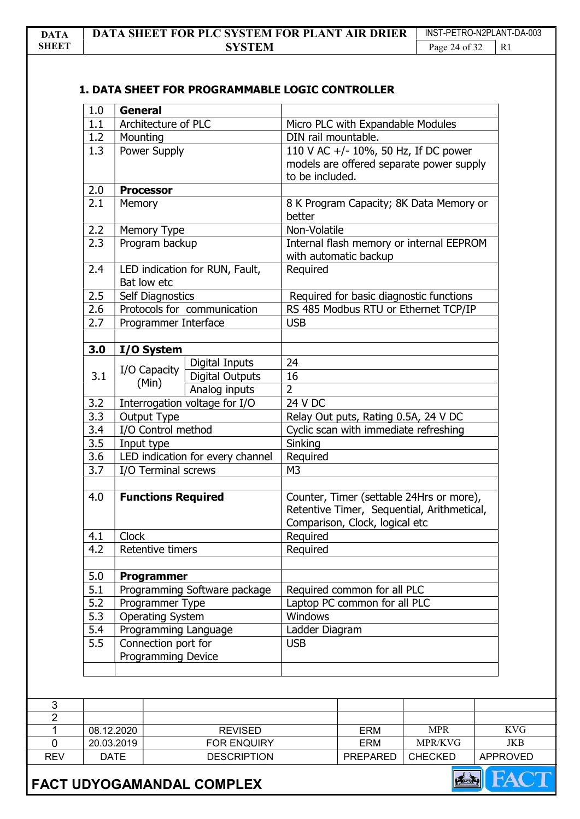## 1. DATA SHEET FOR PROGRAMMABLE LOGIC CONTROLLER

| 1.0              | <b>General</b>                                   |                                  |                             |                                       |                                                                                        |            |
|------------------|--------------------------------------------------|----------------------------------|-----------------------------|---------------------------------------|----------------------------------------------------------------------------------------|------------|
| 1.1              |                                                  | Architecture of PLC              |                             | Micro PLC with Expandable Modules     |                                                                                        |            |
| 1.2              | Mounting                                         |                                  |                             | DIN rail mountable.                   |                                                                                        |            |
| 1.3              |                                                  | Power Supply                     |                             | to be included.                       | 110 V AC +/- 10%, 50 Hz, If DC power<br>models are offered separate power supply       |            |
| 2.0              | <b>Processor</b>                                 |                                  |                             |                                       |                                                                                        |            |
| 2.1              | <b>Memory</b>                                    |                                  |                             |                                       | 8 K Program Capacity; 8K Data Memory or                                                |            |
| 2.2              | Memory Type                                      |                                  | Non-Volatile                |                                       |                                                                                        |            |
| 2.3              |                                                  | Program backup                   |                             | with automatic backup                 | Internal flash memory or internal EEPROM                                               |            |
| 2.4              | Bat low etc                                      | LED indication for RUN, Fault,   |                             |                                       |                                                                                        |            |
| 2.5              | Self Diagnostics                                 |                                  |                             |                                       | Required for basic diagnostic functions                                                |            |
| 2.6              |                                                  | Protocols for communication      |                             |                                       | RS 485 Modbus RTU or Ethernet TCP/IP                                                   |            |
| 2.7              |                                                  | Programmer Interface             |                             | <b>USB</b>                            |                                                                                        |            |
| 3.0              | I/O System                                       |                                  |                             |                                       |                                                                                        |            |
|                  |                                                  | Digital Inputs                   | 24                          |                                       |                                                                                        |            |
| 3.1              | I/O Capacity<br>(Min)                            | <b>Digital Outputs</b>           | 16                          |                                       |                                                                                        |            |
|                  |                                                  | Analog inputs                    | $\overline{2}$              |                                       |                                                                                        |            |
| 3.2              |                                                  | Interrogation voltage for I/O    | 24 V DC                     |                                       |                                                                                        |            |
| 3.3              | Output Type                                      |                                  |                             | Relay Out puts, Rating 0.5A, 24 V DC  |                                                                                        |            |
| 3.4              | I/O Control method                               |                                  |                             | Cyclic scan with immediate refreshing |                                                                                        |            |
| 3.5              | Input type                                       |                                  | Sinking                     |                                       |                                                                                        |            |
| 3.6              |                                                  | LED indication for every channel |                             | Required                              |                                                                                        |            |
| 3.7              | I/O Terminal screws                              |                                  | M <sub>3</sub>              |                                       |                                                                                        |            |
| 4.0              |                                                  | <b>Functions Required</b>        |                             | Comparison, Clock, logical etc        | Counter, Timer (settable 24Hrs or more),<br>Retentive Timer, Sequential, Arithmetical, |            |
| 4.1              | Clock                                            |                                  | Required                    |                                       |                                                                                        |            |
| 4.2              | Retentive timers                                 |                                  | Required                    |                                       |                                                                                        |            |
| 5.0              |                                                  | <b>Programmer</b>                |                             |                                       |                                                                                        |            |
| 5.1              |                                                  | Programming Software package     | Required common for all PLC |                                       |                                                                                        |            |
| 5.2              |                                                  | Programmer Type                  |                             | Laptop PC common for all PLC          |                                                                                        |            |
| $\overline{5.3}$ |                                                  | <b>Operating System</b>          |                             | Windows                               |                                                                                        |            |
| 5.4              | Programming Language                             |                                  | Ladder Diagram              |                                       |                                                                                        |            |
| 5.5              | Connection port for<br><b>Programming Device</b> |                                  | <b>USB</b>                  |                                       |                                                                                        |            |
|                  |                                                  |                                  |                             |                                       |                                                                                        |            |
|                  |                                                  |                                  |                             |                                       |                                                                                        |            |
|                  | 08.12.2020                                       | <b>REVISED</b>                   |                             |                                       | <b>MPR</b>                                                                             | <b>KVG</b> |
|                  | 20.03.2019                                       | FOR ENQUIRY                      |                             | <b>ERM</b>                            | MPR/KVG                                                                                | <b>JKB</b> |
|                  |                                                  | <b>DESCRIPTION</b>               |                             |                                       | <b>CHECKED</b>                                                                         |            |



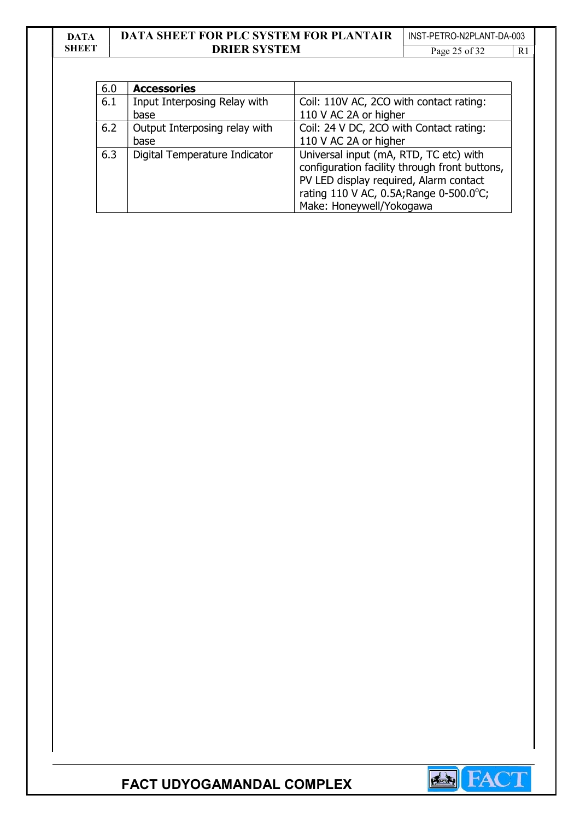## DATA **SHEET**

## DATA SHEET FOR PLC SYSTEM FOR PLANTAIR DRIER SYSTEM

INST-PETRO-N2PLANT-DA-003 Page 25 of 32

| 6.0 | <b>Accessories</b>            |                                               |
|-----|-------------------------------|-----------------------------------------------|
| 6.1 | Input Interposing Relay with  | Coil: 110V AC, 2CO with contact rating:       |
|     | base                          | 110 V AC 2A or higher                         |
| 6.2 | Output Interposing relay with | Coil: 24 V DC, 2CO with Contact rating:       |
|     | base                          | 110 V AC 2A or higher                         |
| 6.3 | Digital Temperature Indicator | Universal input (mA, RTD, TC etc) with        |
|     |                               | configuration facility through front buttons, |
|     |                               | PV LED display required, Alarm contact        |
|     |                               | rating 110 V AC, 0.5A; Range 0-500.0°C;       |
|     |                               | Make: Honeywell/Yokogawa                      |